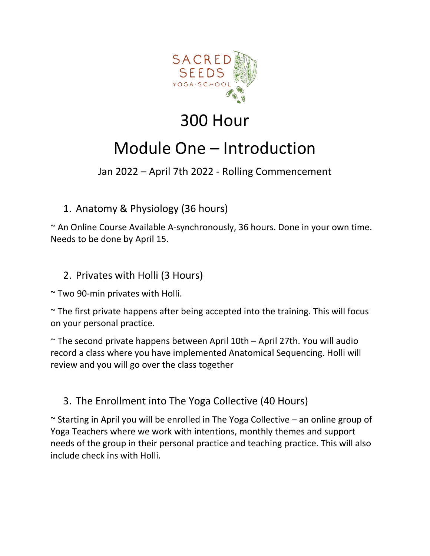

## 300 Hour

# Module One – Introduction

## Jan 2022 – April 7th 2022 - Rolling Commencement

1. Anatomy & Physiology (36 hours)

~ An Online Course Available A-synchronously, 36 hours. Done in your own time. Needs to be done by April 15.

### 2. Privates with Holli (3 Hours)

~ Two 90-min privates with Holli.

 $\sim$  The first private happens after being accepted into the training. This will focus on your personal practice.

 $\sim$  The second private happens between April 10th – April 27th. You will audio record a class where you have implemented Anatomical Sequencing. Holli will review and you will go over the class together

## 3. The Enrollment into The Yoga Collective (40 Hours)

 $\sim$  Starting in April you will be enrolled in The Yoga Collective – an online group of Yoga Teachers where we work with intentions, monthly themes and support needs of the group in their personal practice and teaching practice. This will also include check ins with Holli.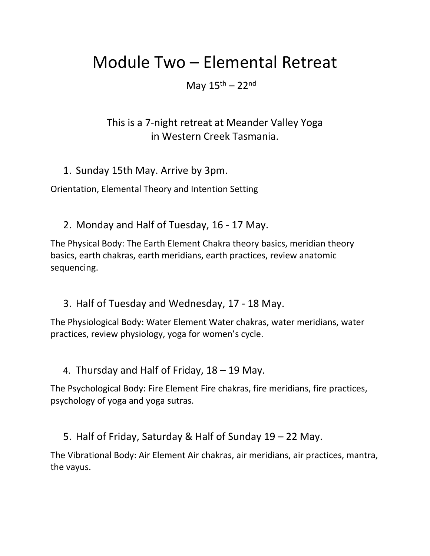## Module Two – Elemental Retreat

May  $15<sup>th</sup> - 22<sup>nd</sup>$ 

This is a 7-night retreat at Meander Valley Yoga in Western Creek Tasmania.

1. Sunday 15th May. Arrive by 3pm.

Orientation, Elemental Theory and Intention Setting

2. Monday and Half of Tuesday, 16 - 17 May.

The Physical Body: The Earth Element Chakra theory basics, meridian theory basics, earth chakras, earth meridians, earth practices, review anatomic sequencing.

3. Half of Tuesday and Wednesday, 17 - 18 May.

The Physiological Body: Water Element Water chakras, water meridians, water practices, review physiology, yoga for women's cycle.

4. Thursday and Half of Friday, 18 – 19 May.

The Psychological Body: Fire Element Fire chakras, fire meridians, fire practices, psychology of yoga and yoga sutras.

5. Half of Friday, Saturday & Half of Sunday 19 – 22 May.

The Vibrational Body: Air Element Air chakras, air meridians, air practices, mantra, the vayus.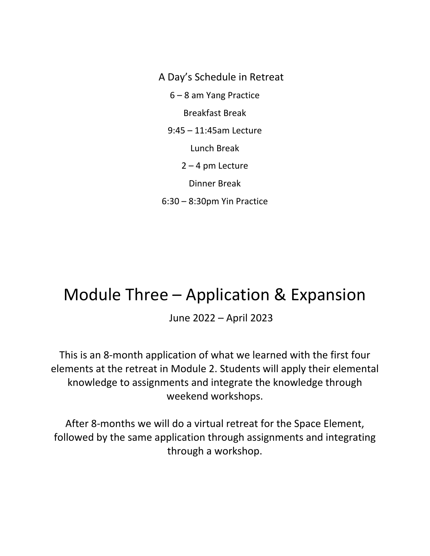A Day's Schedule in Retreat 6 – 8 am Yang Practice Breakfast Break 9:45 – 11:45am Lecture Lunch Break  $2 - 4$  pm Lecture Dinner Break 6:30 – 8:30pm Yin Practice

## Module Three – Application & Expansion

June 2022 – April 2023

This is an 8-month application of what we learned with the first four elements at the retreat in Module 2. Students will apply their elemental knowledge to assignments and integrate the knowledge through weekend workshops.

After 8-months we will do a virtual retreat for the Space Element, followed by the same application through assignments and integrating through a workshop.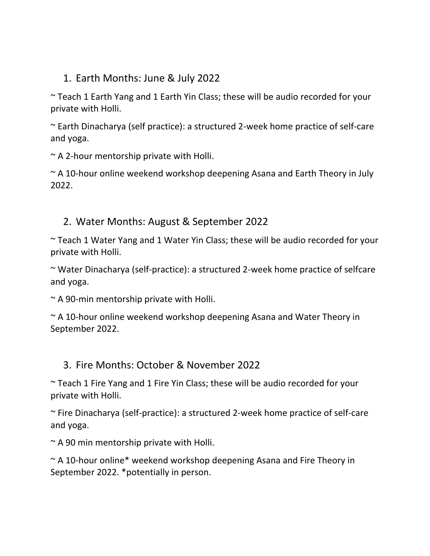### 1. Earth Months: June & July 2022

~ Teach 1 Earth Yang and 1 Earth Yin Class; these will be audio recorded for your private with Holli.

~ Earth Dinacharya (self practice): a structured 2-week home practice of self-care and yoga.

 $\sim$  A 2-hour mentorship private with Holli.

~ A 10-hour online weekend workshop deepening Asana and Earth Theory in July 2022.

### 2. Water Months: August & September 2022

~ Teach 1 Water Yang and 1 Water Yin Class; these will be audio recorded for your private with Holli.

~ Water Dinacharya (self-practice): a structured 2-week home practice of selfcare and yoga.

 $\sim$  A 90-min mentorship private with Holli.

~ A 10-hour online weekend workshop deepening Asana and Water Theory in September 2022.

#### 3. Fire Months: October & November 2022

~ Teach 1 Fire Yang and 1 Fire Yin Class; these will be audio recorded for your private with Holli.

~ Fire Dinacharya (self-practice): a structured 2-week home practice of self-care and yoga.

 $\sim$  A 90 min mentorship private with Holli.

~ A 10-hour online\* weekend workshop deepening Asana and Fire Theory in September 2022. \*potentially in person.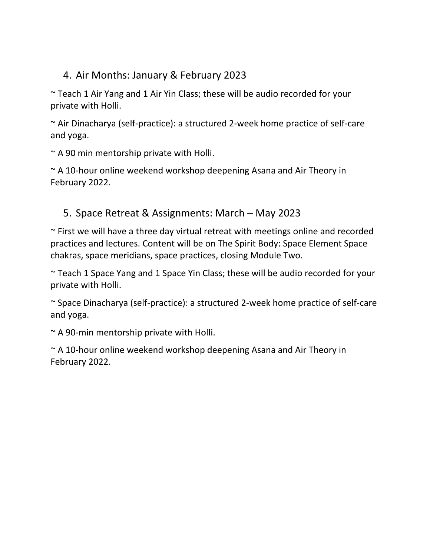## 4. Air Months: January & February 2023

~ Teach 1 Air Yang and 1 Air Yin Class; these will be audio recorded for your private with Holli.

~ Air Dinacharya (self-practice): a structured 2-week home practice of self-care and yoga.

 $\sim$  A 90 min mentorship private with Holli.

~ A 10-hour online weekend workshop deepening Asana and Air Theory in February 2022.

### 5. Space Retreat & Assignments: March – May 2023

 $\sim$  First we will have a three day virtual retreat with meetings online and recorded practices and lectures. Content will be on The Spirit Body: Space Element Space chakras, space meridians, space practices, closing Module Two.

~ Teach 1 Space Yang and 1 Space Yin Class; these will be audio recorded for your private with Holli.

~ Space Dinacharya (self-practice): a structured 2-week home practice of self-care and yoga.

 $\sim$  A 90-min mentorship private with Holli.

~ A 10-hour online weekend workshop deepening Asana and Air Theory in February 2022.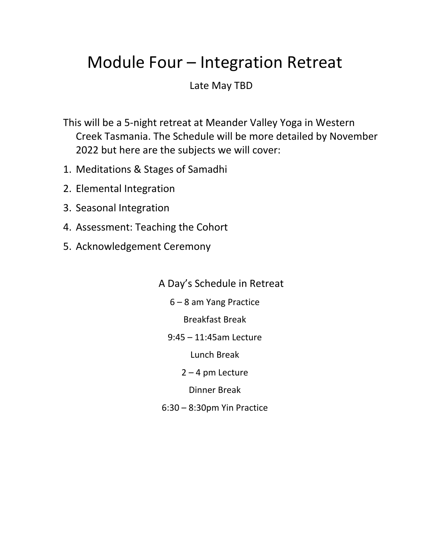# Module Four – Integration Retreat

Late May TBD

This will be a 5-night retreat at Meander Valley Yoga in Western Creek Tasmania. The Schedule will be more detailed by November 2022 but here are the subjects we will cover:

- 1. Meditations & Stages of Samadhi
- 2. Elemental Integration
- 3. Seasonal Integration
- 4. Assessment: Teaching the Cohort
- 5. Acknowledgement Ceremony

A Day's Schedule in Retreat

6 – 8 am Yang Practice

Breakfast Break

9:45 – 11:45am Lecture

Lunch Break

2 – 4 pm Lecture

Dinner Break

6:30 – 8:30pm Yin Practice